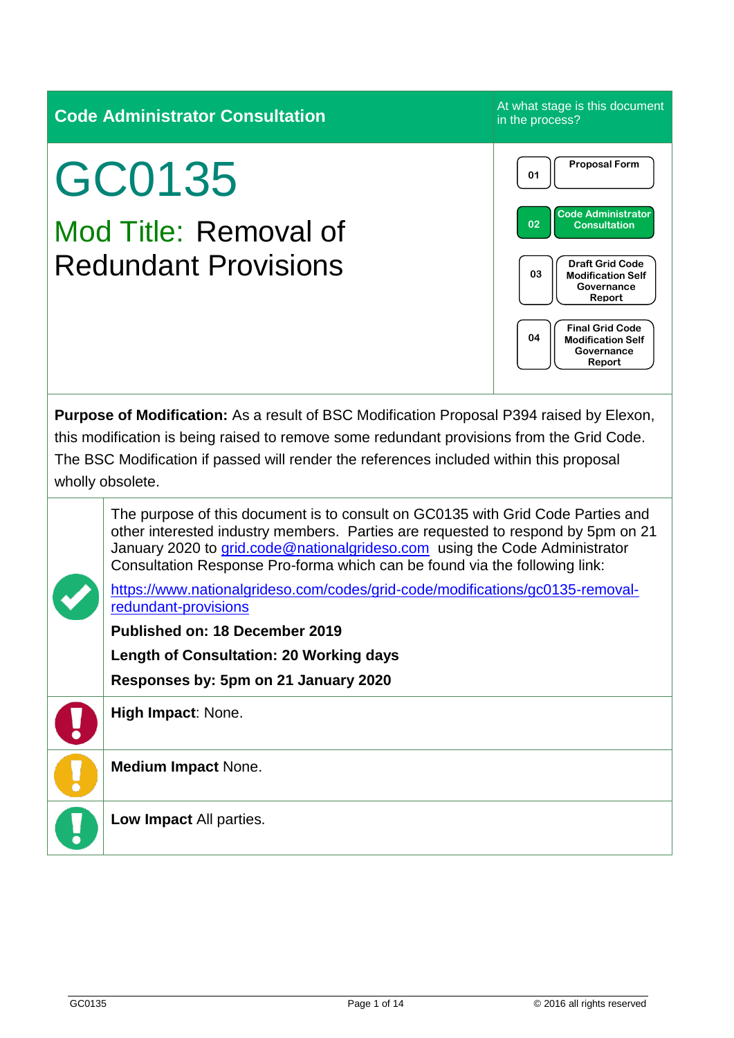|                                                                                                                                                                                                                                                                                                      | <b>Code Administrator Consultation</b>                                                                                                                                                                                                                                                                                                                                                                           | At what stage is this document<br>in the process?                                                                                                                                                                                                            |  |
|------------------------------------------------------------------------------------------------------------------------------------------------------------------------------------------------------------------------------------------------------------------------------------------------------|------------------------------------------------------------------------------------------------------------------------------------------------------------------------------------------------------------------------------------------------------------------------------------------------------------------------------------------------------------------------------------------------------------------|--------------------------------------------------------------------------------------------------------------------------------------------------------------------------------------------------------------------------------------------------------------|--|
|                                                                                                                                                                                                                                                                                                      | GC0135<br>Mod Title: Removal of<br><b>Redundant Provisions</b>                                                                                                                                                                                                                                                                                                                                                   | <b>Proposal Form</b><br>01<br><b>Code Administrator</b><br>02<br><b>Consultation</b><br><b>Draft Grid Code</b><br>03<br><b>Modification Self</b><br>Governance<br>Report<br><b>Final Grid Code</b><br>04<br><b>Modification Self</b><br>Governance<br>Report |  |
| Purpose of Modification: As a result of BSC Modification Proposal P394 raised by Elexon,<br>this modification is being raised to remove some redundant provisions from the Grid Code.<br>The BSC Modification if passed will render the references included within this proposal<br>wholly obsolete. |                                                                                                                                                                                                                                                                                                                                                                                                                  |                                                                                                                                                                                                                                                              |  |
|                                                                                                                                                                                                                                                                                                      | The purpose of this document is to consult on GC0135 with Grid Code Parties and<br>other interested industry members. Parties are requested to respond by 5pm on 21<br>January 2020 to grid.code@nationalgrideso.com using the Code Administrator<br>Consultation Response Pro-forma which can be found via the following link:<br>https://www.nationalgrideso.com/codes/grid-code/modifications/gc0135-removal- |                                                                                                                                                                                                                                                              |  |
|                                                                                                                                                                                                                                                                                                      | redundant-provisions<br><b>Published on: 18 December 2019</b><br><b>Length of Consultation: 20 Working days</b>                                                                                                                                                                                                                                                                                                  |                                                                                                                                                                                                                                                              |  |
|                                                                                                                                                                                                                                                                                                      | Responses by: 5pm on 21 January 2020<br>High Impact: None.                                                                                                                                                                                                                                                                                                                                                       |                                                                                                                                                                                                                                                              |  |
|                                                                                                                                                                                                                                                                                                      | <b>Medium Impact None.</b>                                                                                                                                                                                                                                                                                                                                                                                       |                                                                                                                                                                                                                                                              |  |
|                                                                                                                                                                                                                                                                                                      | Low Impact All parties.                                                                                                                                                                                                                                                                                                                                                                                          |                                                                                                                                                                                                                                                              |  |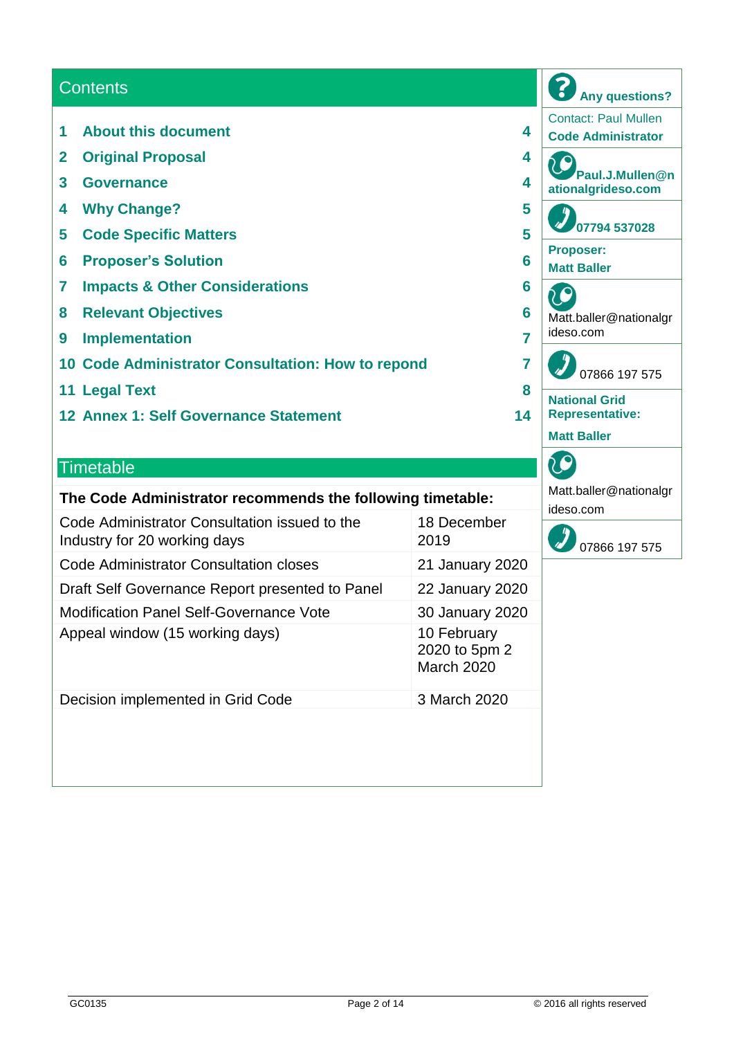#### **Contents**

- **1 About this document 4**
- **2 Original Proposal 4**
- **3 Governance 4**
- **4 Why Change? 5**
- **5 Code Specific Matters 5**
- **6 Proposer's Solution 6**
- **7 Impacts & Other Considerations 6**
- **8 Relevant Objectives 6**
- **9 Implementation 7**
- **10 Code Administrator Consultation: How to repond 7**
- **11 Legal Text 8**
- **12 Annex 1: Self Governance Statement 14**

#### **Timetable**

#### **The Code Administrator recommends the following timetable:**

| Code Administrator Consultation issued to the<br>Industry for 20 working days | 18 December<br>2019                               |
|-------------------------------------------------------------------------------|---------------------------------------------------|
| Code Administrator Consultation closes                                        | 21 January 2020                                   |
| Draft Self Governance Report presented to Panel                               | 22 January 2020                                   |
| <b>Modification Panel Self-Governance Vote</b>                                | 30 January 2020                                   |
| Appeal window (15 working days)                                               | 10 February<br>2020 to 5pm 2<br><b>March 2020</b> |
| Decision implemented in Grid Code                                             | 3 March 2020                                      |
|                                                                               |                                                   |

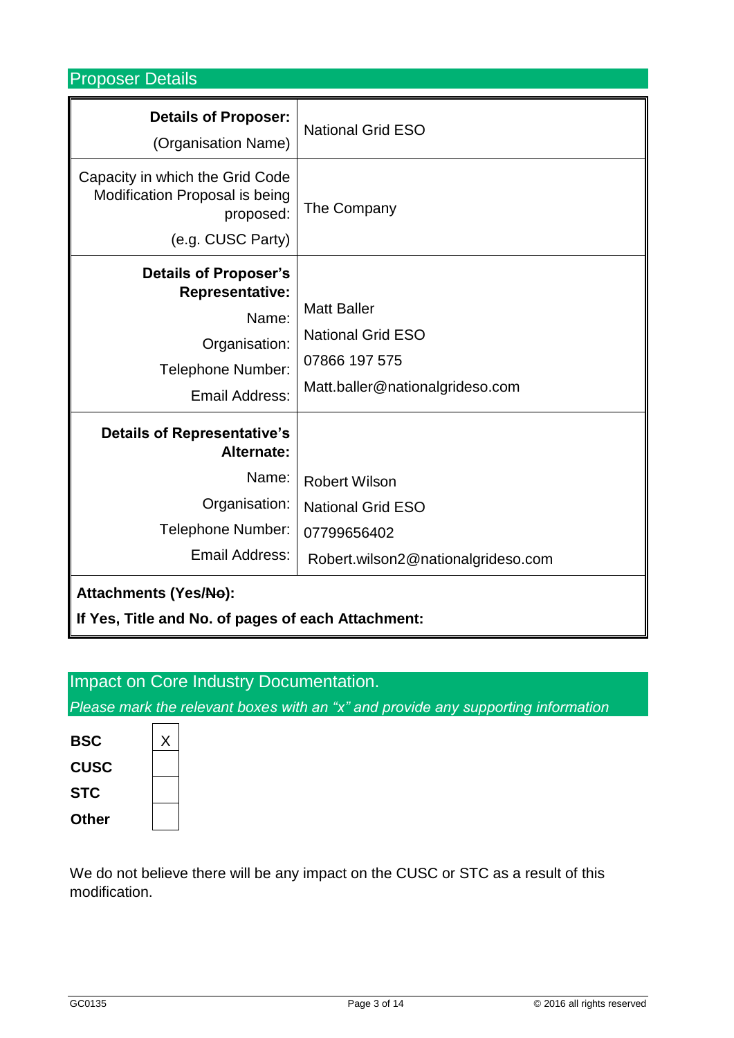Proposer Details

| <b>Details of Proposer:</b><br>(Organisation Name)                                                                      | <b>National Grid ESO</b>                                                                              |  |
|-------------------------------------------------------------------------------------------------------------------------|-------------------------------------------------------------------------------------------------------|--|
| Capacity in which the Grid Code<br>Modification Proposal is being<br>proposed:<br>(e.g. CUSC Party)                     | The Company                                                                                           |  |
| <b>Details of Proposer's</b><br><b>Representative:</b><br>Name:<br>Organisation:<br>Telephone Number:<br>Email Address: | <b>Matt Baller</b><br><b>National Grid ESO</b><br>07866 197 575<br>Matt.baller@nationalgrideso.com    |  |
| <b>Details of Representative's</b><br>Alternate:<br>Name:<br>Organisation:<br>Telephone Number:<br>Email Address:       | <b>Robert Wilson</b><br><b>National Grid ESO</b><br>07799656402<br>Robert.wilson2@nationalgrideso.com |  |
| <b>Attachments (Yes/No):</b><br>If Yes, Title and No. of pages of each Attachment:                                      |                                                                                                       |  |

# Impact on Core Industry Documentation.

*Please mark the relevant boxes with an "x" and provide any supporting information*

| <b>BSC</b>  |  |
|-------------|--|
| <b>CUSC</b> |  |
| <b>STC</b>  |  |
| Other       |  |

We do not believe there will be any impact on the CUSC or STC as a result of this modification.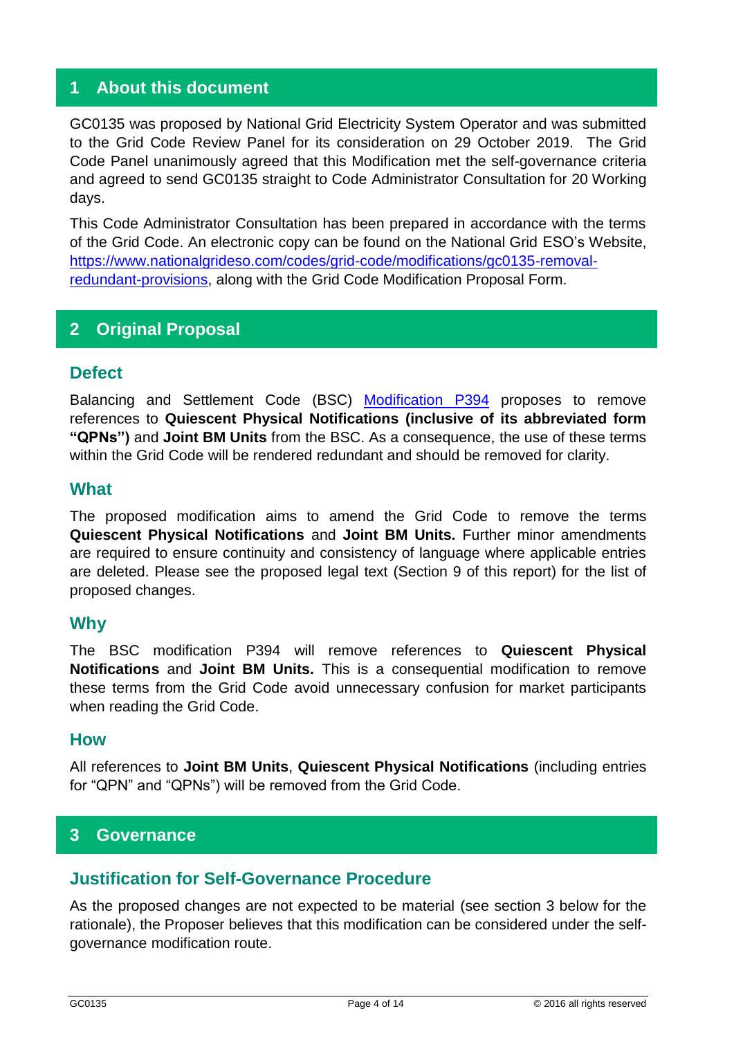### **1 About this document**

GC0135 was proposed by National Grid Electricity System Operator and was submitted to the Grid Code Review Panel for its consideration on 29 October 2019. The Grid Code Panel unanimously agreed that this Modification met the self-governance criteria and agreed to send GC0135 straight to Code Administrator Consultation for 20 Working days.

This Code Administrator Consultation has been prepared in accordance with the terms of the Grid Code. An electronic copy can be found on the National Grid ESO's Website, [https://www.nationalgrideso.com/codes/grid-code/modifications/gc0135-removal](https://www.nationalgrideso.com/codes/grid-code/modifications/gc0135-removal-redundant-provisions)[redundant-provisions,](https://www.nationalgrideso.com/codes/grid-code/modifications/gc0135-removal-redundant-provisions) along with the Grid Code Modification Proposal Form.

# **2 Original Proposal**

#### **Defect**

Balancing and Settlement Code (BSC) [Modification P394](https://www.elexon.co.uk/mod-proposal/p394-removal-of-unused-bsc-provisions/) proposes to remove references to **Quiescent Physical Notifications (inclusive of its abbreviated form "QPNs")** and **Joint BM Units** from the BSC. As a consequence, the use of these terms within the Grid Code will be rendered redundant and should be removed for clarity.

#### **What**

The proposed modification aims to amend the Grid Code to remove the terms **Quiescent Physical Notifications** and **Joint BM Units.** Further minor amendments are required to ensure continuity and consistency of language where applicable entries are deleted. Please see the proposed legal text (Section 9 of this report) for the list of proposed changes.

#### **Why**

The BSC modification P394 will remove references to **Quiescent Physical Notifications** and **Joint BM Units.** This is a consequential modification to remove these terms from the Grid Code avoid unnecessary confusion for market participants when reading the Grid Code.

#### **How**

All references to **Joint BM Units**, **Quiescent Physical Notifications** (including entries for "QPN" and "QPNs") will be removed from the Grid Code.

#### **3 Governance**

#### **Justification for Self-Governance Procedure**

As the proposed changes are not expected to be material (see section 3 below for the rationale), the Proposer believes that this modification can be considered under the selfgovernance modification route.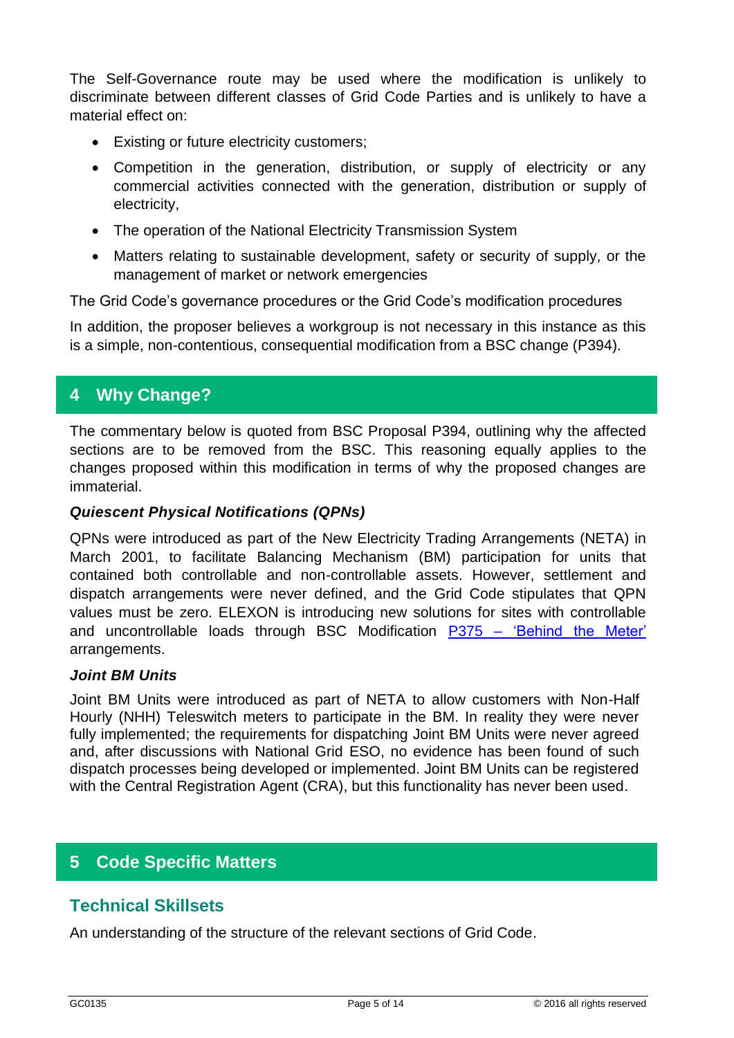The Self-Governance route may be used where the modification is unlikely to discriminate between different classes of Grid Code Parties and is unlikely to have a material effect on:

- Existing or future electricity customers;
- Competition in the generation, distribution, or supply of electricity or any commercial activities connected with the generation, distribution or supply of electricity,
- The operation of the National Electricity Transmission System
- Matters relating to sustainable development, safety or security of supply, or the management of market or network emergencies

The Grid Code's governance procedures or the Grid Code's modification procedures

In addition, the proposer believes a workgroup is not necessary in this instance as this is a simple, non-contentious, consequential modification from a BSC change (P394).

# **4 Why Change?**

The commentary below is quoted from BSC Proposal P394, outlining why the affected sections are to be removed from the BSC. This reasoning equally applies to the changes proposed within this modification in terms of why the proposed changes are immaterial.

#### *Quiescent Physical Notifications (QPNs)*

QPNs were introduced as part of the New Electricity Trading Arrangements (NETA) in March 2001, to facilitate Balancing Mechanism (BM) participation for units that contained both controllable and non-controllable assets. However, settlement and dispatch arrangements were never defined, and the Grid Code stipulates that QPN values must be zero. ELEXON is introducing new solutions for sites with controllable and uncontrollable loads through BSC Modification P375 – ['Behind the Meter'](https://www.elexon.co.uk/mod-proposal/p375/) arrangements.

#### *Joint BM Units*

Joint BM Units were introduced as part of NETA to allow customers with Non-Half Hourly (NHH) Teleswitch meters to participate in the BM. In reality they were never fully implemented; the requirements for dispatching Joint BM Units were never agreed and, after discussions with National Grid ESO, no evidence has been found of such dispatch processes being developed or implemented. Joint BM Units can be registered with the Central Registration Agent (CRA), but this functionality has never been used.

#### **5 Code Specific Matters**

#### **Technical Skillsets**

An understanding of the structure of the relevant sections of Grid Code.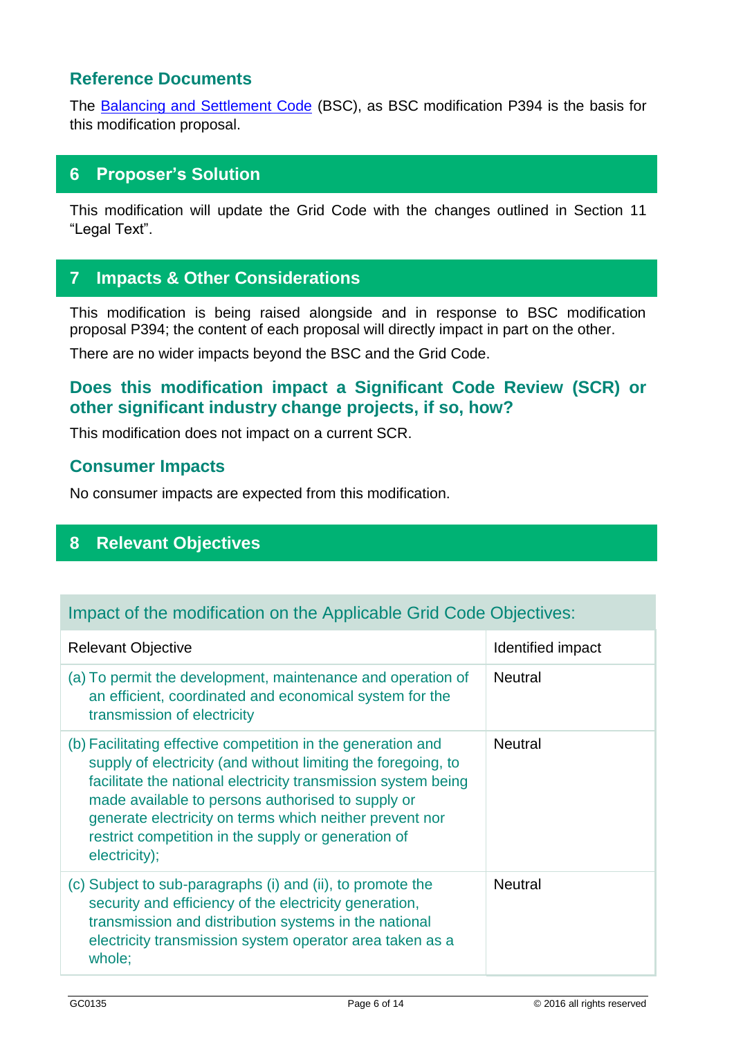## **Reference Documents**

The [Balancing and Settlement Code](https://www.elexon.co.uk/bsc-and-codes/balancing-settlement-code/) (BSC), as BSC modification P394 is the basis for this modification proposal.

# **6 Proposer's Solution**

This modification will update the Grid Code with the changes outlined in Section 11 "Legal Text".

# **7 Impacts & Other Considerations**

This modification is being raised alongside and in response to BSC modification proposal P394; the content of each proposal will directly impact in part on the other.

There are no wider impacts beyond the BSC and the Grid Code.

# **Does this modification impact a Significant Code Review (SCR) or other significant industry change projects, if so, how?**

This modification does not impact on a current SCR.

#### **Consumer Impacts**

No consumer impacts are expected from this modification.

# **8 Relevant Objectives**

#### Impact of the modification on the Applicable Grid Code Objectives:

| <b>Relevant Objective</b>                                                                                                                                                                                                                                                                                                                                                              | Identified impact |
|----------------------------------------------------------------------------------------------------------------------------------------------------------------------------------------------------------------------------------------------------------------------------------------------------------------------------------------------------------------------------------------|-------------------|
| (a) To permit the development, maintenance and operation of<br>an efficient, coordinated and economical system for the<br>transmission of electricity                                                                                                                                                                                                                                  | <b>Neutral</b>    |
| (b) Facilitating effective competition in the generation and<br>supply of electricity (and without limiting the foregoing, to<br>facilitate the national electricity transmission system being<br>made available to persons authorised to supply or<br>generate electricity on terms which neither prevent nor<br>restrict competition in the supply or generation of<br>electricity); | <b>Neutral</b>    |
| (c) Subject to sub-paragraphs (i) and (ii), to promote the<br>security and efficiency of the electricity generation,<br>transmission and distribution systems in the national<br>electricity transmission system operator area taken as a<br>whole;                                                                                                                                    | <b>Neutral</b>    |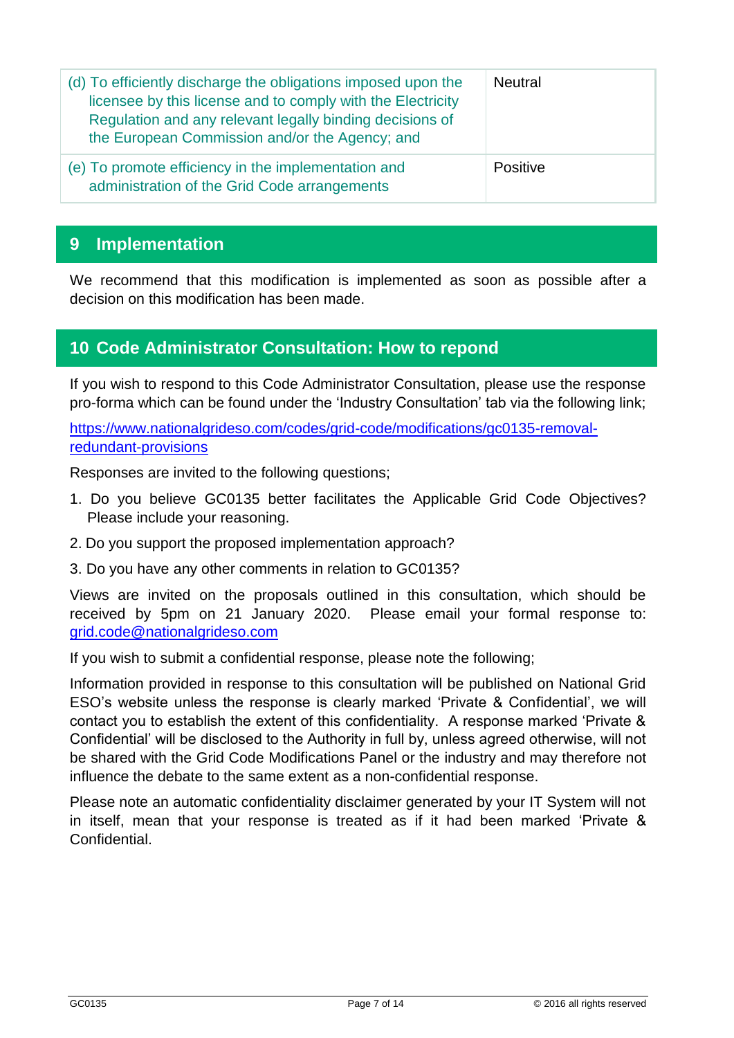| (d) To efficiently discharge the obligations imposed upon the<br>licensee by this license and to comply with the Electricity<br>Regulation and any relevant legally binding decisions of<br>the European Commission and/or the Agency; and | Neutral  |
|--------------------------------------------------------------------------------------------------------------------------------------------------------------------------------------------------------------------------------------------|----------|
| (e) To promote efficiency in the implementation and<br>administration of the Grid Code arrangements                                                                                                                                        | Positive |

### **9 Implementation**

We recommend that this modification is implemented as soon as possible after a decision on this modification has been made.

#### **10 Code Administrator Consultation: How to repond**

If you wish to respond to this Code Administrator Consultation, please use the response pro-forma which can be found under the 'Industry Consultation' tab via the following link;

[https://www.nationalgrideso.com/codes/grid-code/modifications/gc0135-removal](https://www.nationalgrideso.com/codes/grid-code/modifications/gc0135-removal-redundant-provisions)[redundant-provisions](https://www.nationalgrideso.com/codes/grid-code/modifications/gc0135-removal-redundant-provisions)

Responses are invited to the following questions;

- 1. Do you believe GC0135 better facilitates the Applicable Grid Code Objectives? Please include your reasoning.
- 2. Do you support the proposed implementation approach?
- 3. Do you have any other comments in relation to GC0135?

Views are invited on the proposals outlined in this consultation, which should be received by 5pm on 21 January 2020. Please email your formal response to: [grid.code@nationalgrideso.com](mailto:grid.code@nationalgrideso.com)

If you wish to submit a confidential response, please note the following;

Information provided in response to this consultation will be published on National Grid ESO's website unless the response is clearly marked 'Private & Confidential', we will contact you to establish the extent of this confidentiality. A response marked 'Private & Confidential' will be disclosed to the Authority in full by, unless agreed otherwise, will not be shared with the Grid Code Modifications Panel or the industry and may therefore not influence the debate to the same extent as a non-confidential response.

Please note an automatic confidentiality disclaimer generated by your IT System will not in itself, mean that your response is treated as if it had been marked 'Private & **Confidential**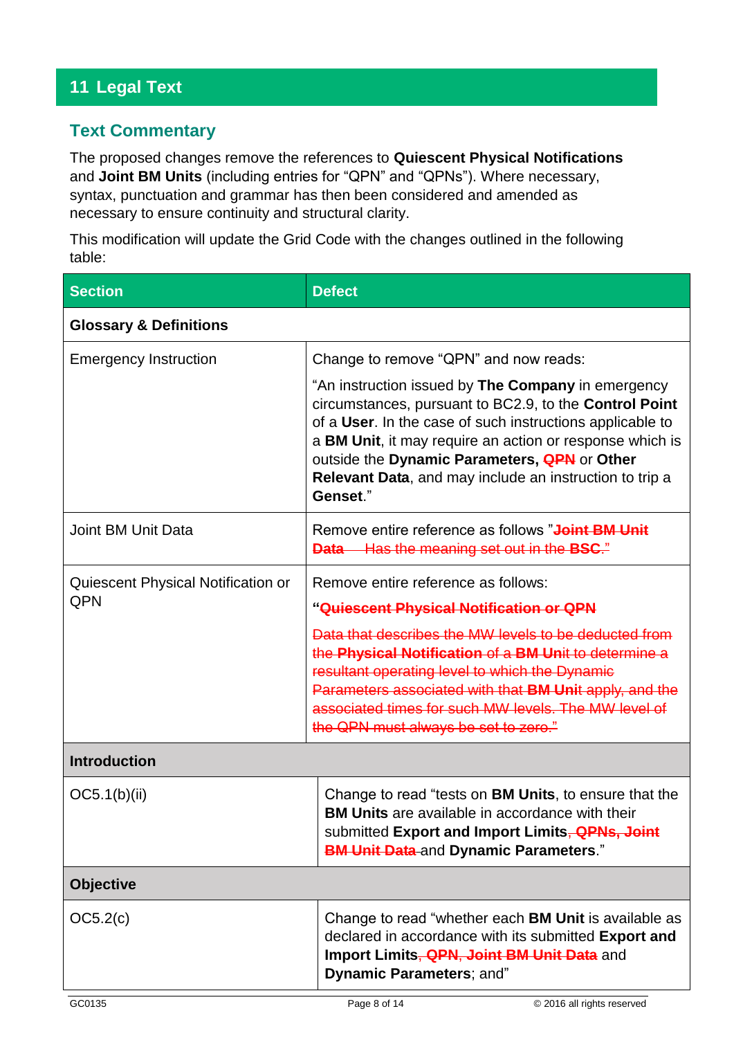# **11 Legal Text**

# **Text Commentary**

The proposed changes remove the references to **Quiescent Physical Notifications** and **Joint BM Units** (including entries for "QPN" and "QPNs"). Where necessary, syntax, punctuation and grammar has then been considered and amended as necessary to ensure continuity and structural clarity.

This modification will update the Grid Code with the changes outlined in the following table:

| <b>Section</b>                            | <b>Defect</b>                                                                                                                                                                                                                                                                                                                                                                                                |  |
|-------------------------------------------|--------------------------------------------------------------------------------------------------------------------------------------------------------------------------------------------------------------------------------------------------------------------------------------------------------------------------------------------------------------------------------------------------------------|--|
| <b>Glossary &amp; Definitions</b>         |                                                                                                                                                                                                                                                                                                                                                                                                              |  |
| <b>Emergency Instruction</b>              | Change to remove "QPN" and now reads:<br>"An instruction issued by The Company in emergency<br>circumstances, pursuant to BC2.9, to the Control Point<br>of a User. In the case of such instructions applicable to<br>a BM Unit, it may require an action or response which is<br>outside the Dynamic Parameters, <b>QPN</b> or Other<br>Relevant Data, and may include an instruction to trip a<br>Genset." |  |
| Joint BM Unit Data                        | Remove entire reference as follows " <b>Joint BM Unit</b><br><b>Data</b> Has the meaning set out in the <b>BSC</b> ."                                                                                                                                                                                                                                                                                        |  |
| Quiescent Physical Notification or<br>QPN | Remove entire reference as follows:<br>"Quiescent Physical Notification or QPN<br>Data that describes the MW levels to be deducted from<br>the Physical Notification of a BM Unit to determine a<br>resultant operating level to which the Dynamic<br>Parameters associated with that BM Unit apply, and the<br>associated times for such MW levels. The MW level of<br>the QPN must always be set to zero." |  |
| <b>Introduction</b>                       |                                                                                                                                                                                                                                                                                                                                                                                                              |  |
| OC5.1(b)(ii)                              | Change to read "tests on <b>BM Units</b> , to ensure that the<br><b>BM Units</b> are available in accordance with their<br>submitted Export and Import Limits, <b>QPNs, Joint</b><br><b>BM Unit Data-and Dynamic Parameters."</b>                                                                                                                                                                            |  |
| <b>Objective</b>                          |                                                                                                                                                                                                                                                                                                                                                                                                              |  |
| OC5.2(c)                                  | Change to read "whether each BM Unit is available as<br>declared in accordance with its submitted Export and<br>Import Limits, <b>QPN, Joint BM Unit Data</b> and<br>Dynamic Parameters; and"                                                                                                                                                                                                                |  |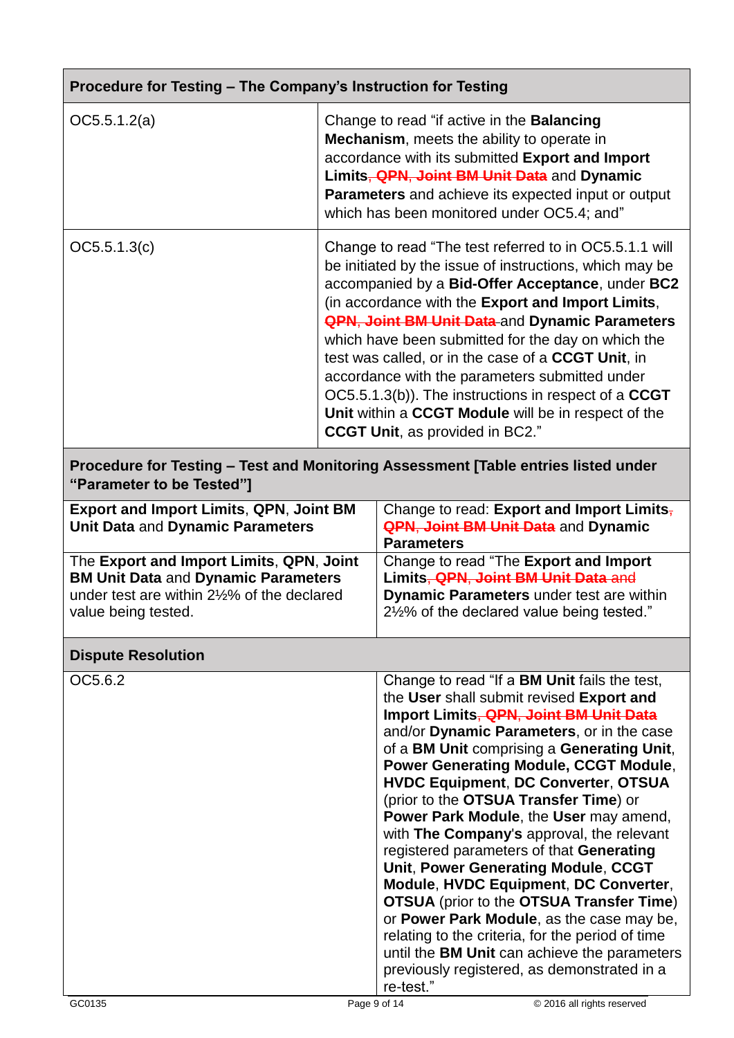| Procedure for Testing - The Company's Instruction for Testing                                                                                                |                                                                                                                                                                                                                                                                                                 |                                                                                                                                                                                                                                                                                                                                                                                                                                                                                                                                                                                                                                                                                                                                                                                                                                                                        |  |
|--------------------------------------------------------------------------------------------------------------------------------------------------------------|-------------------------------------------------------------------------------------------------------------------------------------------------------------------------------------------------------------------------------------------------------------------------------------------------|------------------------------------------------------------------------------------------------------------------------------------------------------------------------------------------------------------------------------------------------------------------------------------------------------------------------------------------------------------------------------------------------------------------------------------------------------------------------------------------------------------------------------------------------------------------------------------------------------------------------------------------------------------------------------------------------------------------------------------------------------------------------------------------------------------------------------------------------------------------------|--|
| OC5.5.1.2(a)                                                                                                                                                 | Change to read "if active in the Balancing<br>Mechanism, meets the ability to operate in<br>accordance with its submitted Export and Import<br>Limits, QPN, Joint BM Unit Data and Dynamic<br>Parameters and achieve its expected input or output<br>which has been monitored under OC5.4; and" |                                                                                                                                                                                                                                                                                                                                                                                                                                                                                                                                                                                                                                                                                                                                                                                                                                                                        |  |
| OC5.5.1.3(c)                                                                                                                                                 |                                                                                                                                                                                                                                                                                                 | Change to read "The test referred to in OC5.5.1.1 will<br>be initiated by the issue of instructions, which may be<br>accompanied by a Bid-Offer Acceptance, under BC2<br>(in accordance with the Export and Import Limits,<br><b>QPN, Joint BM Unit Data</b> and Dynamic Parameters<br>which have been submitted for the day on which the<br>test was called, or in the case of a CCGT Unit, in<br>accordance with the parameters submitted under<br>OC5.5.1.3(b)). The instructions in respect of a CCGT<br>Unit within a CCGT Module will be in respect of the<br><b>CCGT Unit, as provided in BC2."</b>                                                                                                                                                                                                                                                             |  |
| Procedure for Testing - Test and Monitoring Assessment [Table entries listed under<br>"Parameter to be Tested"]                                              |                                                                                                                                                                                                                                                                                                 |                                                                                                                                                                                                                                                                                                                                                                                                                                                                                                                                                                                                                                                                                                                                                                                                                                                                        |  |
| <b>Export and Import Limits, QPN, Joint BM</b><br>Unit Data and Dynamic Parameters                                                                           |                                                                                                                                                                                                                                                                                                 | Change to read: Export and Import Limits,<br><b>QPN, Joint BM Unit Data</b> and Dynamic<br><b>Parameters</b>                                                                                                                                                                                                                                                                                                                                                                                                                                                                                                                                                                                                                                                                                                                                                           |  |
| The Export and Import Limits, QPN, Joint<br><b>BM Unit Data and Dynamic Parameters</b><br>under test are within 21/2% of the declared<br>value being tested. |                                                                                                                                                                                                                                                                                                 | Change to read "The Export and Import<br>Limits, QPN, Joint BM Unit Data and<br>Dynamic Parameters under test are within<br>21/2% of the declared value being tested."                                                                                                                                                                                                                                                                                                                                                                                                                                                                                                                                                                                                                                                                                                 |  |
| <b>Dispute Resolution</b>                                                                                                                                    |                                                                                                                                                                                                                                                                                                 |                                                                                                                                                                                                                                                                                                                                                                                                                                                                                                                                                                                                                                                                                                                                                                                                                                                                        |  |
| OC5.6.2                                                                                                                                                      |                                                                                                                                                                                                                                                                                                 | Change to read "If a <b>BM Unit</b> fails the test,<br>the User shall submit revised Export and<br>Import Limits, QPN, Joint BM Unit Data<br>and/or Dynamic Parameters, or in the case<br>of a BM Unit comprising a Generating Unit,<br><b>Power Generating Module, CCGT Module,</b><br><b>HVDC Equipment, DC Converter, OTSUA</b><br>(prior to the OTSUA Transfer Time) or<br>Power Park Module, the User may amend,<br>with The Company's approval, the relevant<br>registered parameters of that Generating<br>Unit, Power Generating Module, CCGT<br>Module, HVDC Equipment, DC Converter,<br><b>OTSUA</b> (prior to the <b>OTSUA Transfer Time</b> )<br>or Power Park Module, as the case may be,<br>relating to the criteria, for the period of time<br>until the BM Unit can achieve the parameters<br>previously registered, as demonstrated in a<br>re-test." |  |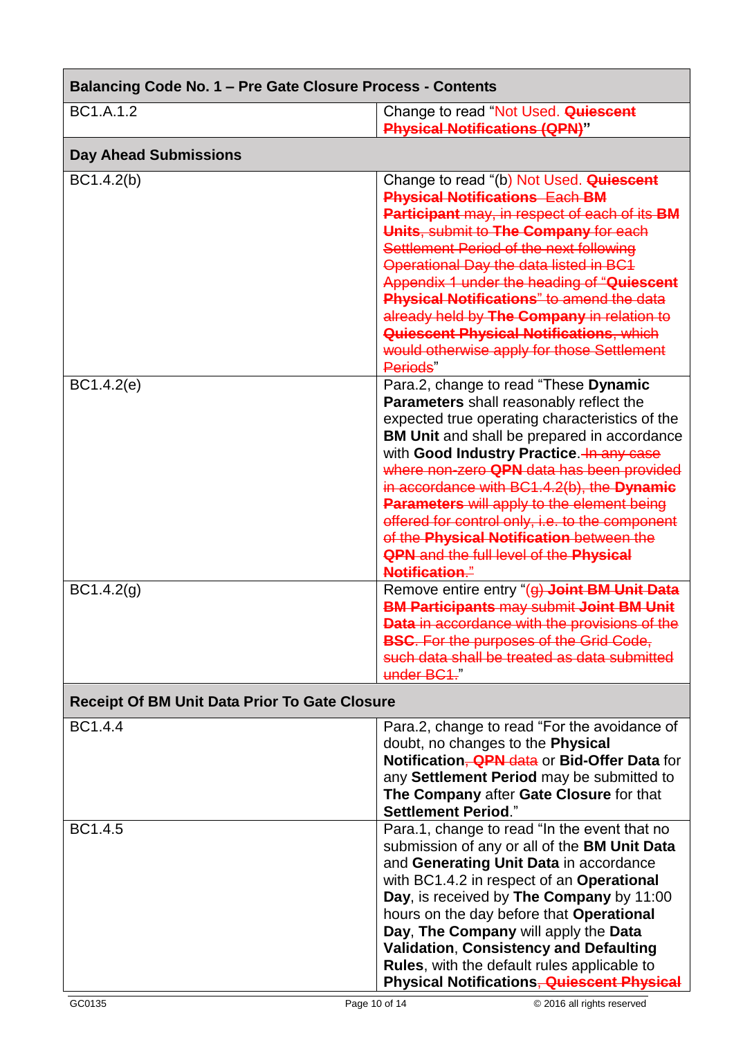| Balancing Code No. 1 - Pre Gate Closure Process - Contents |                                                                                                                                                                                                                                                                                                                                                                                                                                                                                                                                                        |  |
|------------------------------------------------------------|--------------------------------------------------------------------------------------------------------------------------------------------------------------------------------------------------------------------------------------------------------------------------------------------------------------------------------------------------------------------------------------------------------------------------------------------------------------------------------------------------------------------------------------------------------|--|
| BC1.A.1.2                                                  | Change to read "Not Used. Quiescent<br><b>Physical Notifications (QPN)"</b>                                                                                                                                                                                                                                                                                                                                                                                                                                                                            |  |
| <b>Day Ahead Submissions</b>                               |                                                                                                                                                                                                                                                                                                                                                                                                                                                                                                                                                        |  |
| BC1.4.2(b)                                                 | Change to read "(b) Not Used. Quiescent<br><b>Physical Notifications Each BM</b><br>Participant may, in respect of each of its BM<br>Units, submit to The Company for each<br>Settlement Period of the next following<br>Operational Day the data listed in BC1<br>Appendix 1 under the heading of "Quiescent<br><b>Physical Notifications</b> " to amend the data<br>already held by The Company in relation to<br><b>Quiescent Physical Notifications, which</b><br>would otherwise apply for those Settlement<br>Periods"                           |  |
| BC1.4.2(e)                                                 | Para.2, change to read "These Dynamic<br>Parameters shall reasonably reflect the<br>expected true operating characteristics of the<br><b>BM Unit</b> and shall be prepared in accordance<br>with Good Industry Practice. In any case<br>where non-zero QPN data has been provided<br>in accordance with BC1.4.2(b), the Dynamic<br><b>Parameters will apply to the element being</b><br>offered for control only, i.e. to the component<br>of the Physical Notification between the<br><b>QPN</b> and the full level of the Physical<br>Notification." |  |
| BC1.4.2(g)                                                 | Remove entire entry "(g) Joint BM Unit Data<br><b>BM Participants may submit Joint BM Unit</b><br>Data in accordance with the provisions of the<br><b>BSC.</b> For the purposes of the Grid Code,<br>such data shall be treated as data submitted<br>under BC1."                                                                                                                                                                                                                                                                                       |  |
| Receipt Of BM Unit Data Prior To Gate Closure              |                                                                                                                                                                                                                                                                                                                                                                                                                                                                                                                                                        |  |
| BC1.4.4                                                    | Para.2, change to read "For the avoidance of<br>doubt, no changes to the Physical<br>Notification, <b>QPN</b> data or Bid-Offer Data for<br>any Settlement Period may be submitted to<br>The Company after Gate Closure for that<br><b>Settlement Period."</b>                                                                                                                                                                                                                                                                                         |  |
| BC1.4.5                                                    | Para.1, change to read "In the event that no<br>submission of any or all of the BM Unit Data<br>and Generating Unit Data in accordance<br>with BC1.4.2 in respect of an Operational<br>Day, is received by The Company by 11:00<br>hours on the day before that Operational<br>Day, The Company will apply the Data<br><b>Validation, Consistency and Defaulting</b><br><b>Rules, with the default rules applicable to</b><br><b>Physical Notifications<del>, Quiescent Physical</del></b>                                                             |  |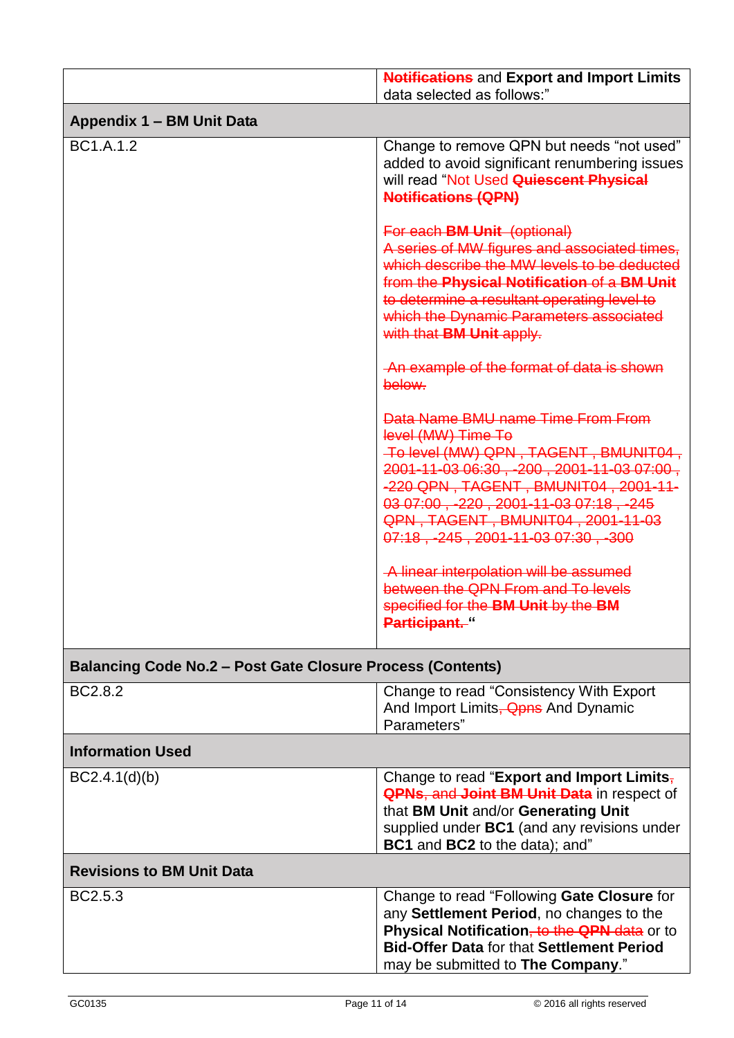|                                                                   | <b>Notifications</b> and Export and Import Limits<br>data selected as follows:"                                                                                                                                                                                                                                          |  |
|-------------------------------------------------------------------|--------------------------------------------------------------------------------------------------------------------------------------------------------------------------------------------------------------------------------------------------------------------------------------------------------------------------|--|
| Appendix 1 - BM Unit Data                                         |                                                                                                                                                                                                                                                                                                                          |  |
| BC1.A.1.2                                                         | Change to remove QPN but needs "not used"<br>added to avoid significant renumbering issues<br>will read "Not Used Quiescent Physical<br><b>Notifications (QPN)</b>                                                                                                                                                       |  |
|                                                                   | For each <b>BM Unit</b> (optional)<br>A series of MW figures and associated times,<br>which describe the MW levels to be deducted<br>from the Physical Notification of a BM Unit<br>to determine a resultant operating level to<br>which the Dynamic Parameters associated<br>with that <b>BM Unit apply.</b>            |  |
|                                                                   | -An example of the format of data is shown<br>below.                                                                                                                                                                                                                                                                     |  |
|                                                                   | Data Name BMU name Time From From<br>level (MW) Time To<br>To level (MW) QPN, TAGENT, BMUNIT04,<br>2001-11-03 06:30, -200, 2001-11-03 07:00,<br>-220 QPN, TAGENT, BMUNIT04, 2001-11-<br>03 07:00, -220, 2001-11-03 07:18, -245<br>QPN, TAGENT, BMUNIT04, 2001-11-03<br>$07:18$ , $-245$ , $2001 - 11 - 0307:30$ , $-300$ |  |
|                                                                   | -A linear interpolation will be assumed<br>between the QPN From and To levels<br>specified for the BM Unit by the BM<br>Participant."                                                                                                                                                                                    |  |
| <b>Balancing Code No.2 - Post Gate Closure Process (Contents)</b> |                                                                                                                                                                                                                                                                                                                          |  |
| BC2.8.2                                                           | Change to read "Consistency With Export"<br>And Import Limits, <b>Qpns</b> And Dynamic<br>Parameters"                                                                                                                                                                                                                    |  |
| <b>Information Used</b>                                           |                                                                                                                                                                                                                                                                                                                          |  |
| BC2.4.1(d)(b)                                                     | Change to read "Export and Import Limits,<br><b>QPNs, and Joint BM Unit Data in respect of</b><br>that BM Unit and/or Generating Unit<br>supplied under BC1 (and any revisions under<br>BC1 and BC2 to the data); and"                                                                                                   |  |
| <b>Revisions to BM Unit Data</b>                                  |                                                                                                                                                                                                                                                                                                                          |  |
| BC2.5.3                                                           | Change to read "Following Gate Closure for<br>any Settlement Period, no changes to the<br>Physical Notification, to the QPN data or to<br><b>Bid-Offer Data for that Settlement Period</b><br>may be submitted to The Company."                                                                                          |  |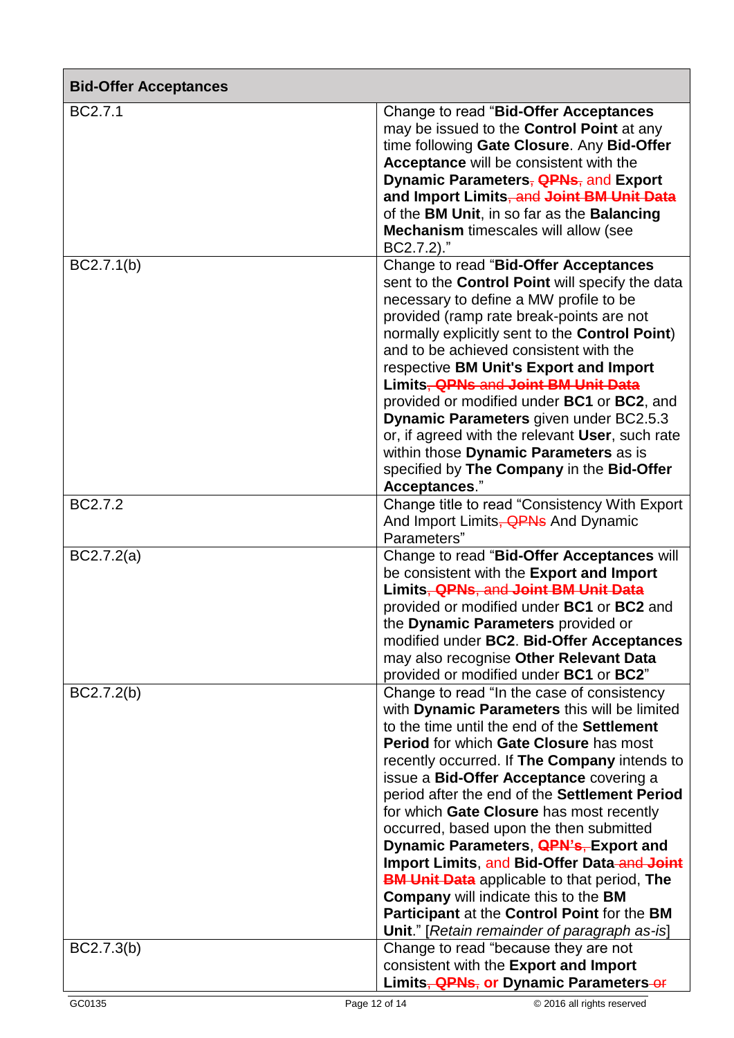| <b>Bid-Offer Acceptances</b> |                                                                                                                                                                                                                                                                                                                                                                                                                                                                                                                                                                                                                                                                                                                                  |
|------------------------------|----------------------------------------------------------------------------------------------------------------------------------------------------------------------------------------------------------------------------------------------------------------------------------------------------------------------------------------------------------------------------------------------------------------------------------------------------------------------------------------------------------------------------------------------------------------------------------------------------------------------------------------------------------------------------------------------------------------------------------|
| BC2.7.1                      | Change to read "Bid-Offer Acceptances"<br>may be issued to the <b>Control Point</b> at any<br>time following Gate Closure. Any Bid-Offer<br>Acceptance will be consistent with the<br>Dynamic Parameters, <b>QPNs</b> , and Export<br>and Import Limits, and Joint BM Unit Data<br>of the BM Unit, in so far as the Balancing<br><b>Mechanism</b> timescales will allow (see<br>BC2.7.2)."                                                                                                                                                                                                                                                                                                                                       |
| BC2.7.1(b)                   | Change to read "Bid-Offer Acceptances<br>sent to the Control Point will specify the data<br>necessary to define a MW profile to be<br>provided (ramp rate break-points are not<br>normally explicitly sent to the Control Point)<br>and to be achieved consistent with the<br>respective BM Unit's Export and Import<br>Limits, <b>QPNs and Joint BM Unit Data</b><br>provided or modified under BC1 or BC2, and<br>Dynamic Parameters given under BC2.5.3<br>or, if agreed with the relevant User, such rate<br>within those Dynamic Parameters as is<br>specified by The Company in the Bid-Offer<br>Acceptances."                                                                                                             |
| BC2.7.2                      | Change title to read "Consistency With Export<br>And Import Limits, <b>QPNs</b> And Dynamic<br>Parameters"                                                                                                                                                                                                                                                                                                                                                                                                                                                                                                                                                                                                                       |
| BC2.7.2(a)                   | Change to read "Bid-Offer Acceptances will<br>be consistent with the Export and Import<br>Limits, QPNs, and Joint BM Unit Data<br>provided or modified under BC1 or BC2 and<br>the Dynamic Parameters provided or<br>modified under BC2. Bid-Offer Acceptances<br>may also recognise Other Relevant Data<br>provided or modified under BC1 or BC2"                                                                                                                                                                                                                                                                                                                                                                               |
| BC2.7.2(b)                   | Change to read "In the case of consistency<br>with Dynamic Parameters this will be limited<br>to the time until the end of the Settlement<br><b>Period for which Gate Closure has most</b><br>recently occurred. If The Company intends to<br>issue a Bid-Offer Acceptance covering a<br>period after the end of the Settlement Period<br>for which Gate Closure has most recently<br>occurred, based upon the then submitted<br>Dynamic Parameters, <b>QPN's, Export and</b><br>Import Limits, and Bid-Offer Data-and Joint<br><b>BM Unit Data</b> applicable to that period, The<br><b>Company will indicate this to the BM</b><br>Participant at the Control Point for the BM<br>Unit." [Retain remainder of paragraph as-is] |
| BC2.7.3(b)                   | Change to read "because they are not<br>consistent with the Export and Import<br>Limits, <b>QPNs</b> , or Dynamic Parameters-or                                                                                                                                                                                                                                                                                                                                                                                                                                                                                                                                                                                                  |

Г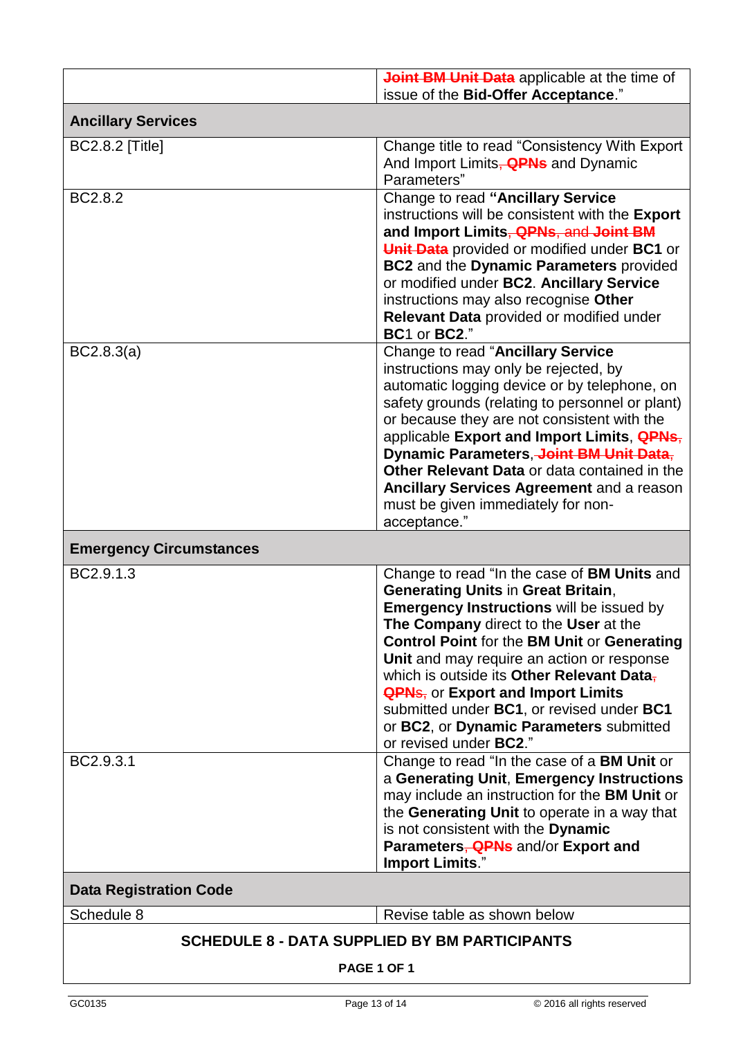|                                                                     | Joint BM Unit Data applicable at the time of<br>issue of the Bid-Offer Acceptance."                                                                                                                                                                                                                                                                                                                                                                                                                                                         |  |
|---------------------------------------------------------------------|---------------------------------------------------------------------------------------------------------------------------------------------------------------------------------------------------------------------------------------------------------------------------------------------------------------------------------------------------------------------------------------------------------------------------------------------------------------------------------------------------------------------------------------------|--|
| <b>Ancillary Services</b>                                           |                                                                                                                                                                                                                                                                                                                                                                                                                                                                                                                                             |  |
| <b>BC2.8.2 [Title]</b>                                              | Change title to read "Consistency With Export"<br>And Import Limits, <b>QPNs</b> and Dynamic<br>Parameters"                                                                                                                                                                                                                                                                                                                                                                                                                                 |  |
| BC2.8.2                                                             | Change to read "Ancillary Service<br>instructions will be consistent with the Export<br>and Import Limits, QPNs, and Joint BM<br>Unit Data provided or modified under BC1 or<br><b>BC2</b> and the Dynamic Parameters provided<br>or modified under BC2. Ancillary Service<br>instructions may also recognise Other<br>Relevant Data provided or modified under<br>BC1 or BC2."                                                                                                                                                             |  |
| BC2.8.3(a)                                                          | Change to read "Ancillary Service<br>instructions may only be rejected, by<br>automatic logging device or by telephone, on<br>safety grounds (relating to personnel or plant)<br>or because they are not consistent with the<br>applicable Export and Import Limits, <b>QPNs</b> ,<br>Dynamic Parameters, Joint BM Unit Data,<br>Other Relevant Data or data contained in the<br>Ancillary Services Agreement and a reason<br>must be given immediately for non-<br>acceptance."                                                            |  |
| <b>Emergency Circumstances</b>                                      |                                                                                                                                                                                                                                                                                                                                                                                                                                                                                                                                             |  |
| BC2.9.1.3<br>BC2.9.3.1                                              | Change to read "In the case of BM Units and<br><b>Generating Units in Great Britain,</b><br>Emergency Instructions will be issued by<br>The Company direct to the User at the<br><b>Control Point for the BM Unit or Generating</b><br>Unit and may require an action or response<br>which is outside its Other Relevant Data-<br><b>QPNs, or Export and Import Limits</b><br>submitted under BC1, or revised under BC1<br>or BC2, or Dynamic Parameters submitted<br>or revised under BC2."<br>Change to read "In the case of a BM Unit or |  |
|                                                                     | a Generating Unit, Emergency Instructions<br>may include an instruction for the BM Unit or<br>the Generating Unit to operate in a way that<br>is not consistent with the Dynamic<br>Parameters, <b>QPNs</b> and/or Export and<br><b>Import Limits."</b>                                                                                                                                                                                                                                                                                     |  |
| <b>Data Registration Code</b>                                       |                                                                                                                                                                                                                                                                                                                                                                                                                                                                                                                                             |  |
| Schedule 8                                                          | Revise table as shown below                                                                                                                                                                                                                                                                                                                                                                                                                                                                                                                 |  |
| <b>SCHEDULE 8 - DATA SUPPLIED BY BM PARTICIPANTS</b><br>PAGE 1 OF 1 |                                                                                                                                                                                                                                                                                                                                                                                                                                                                                                                                             |  |